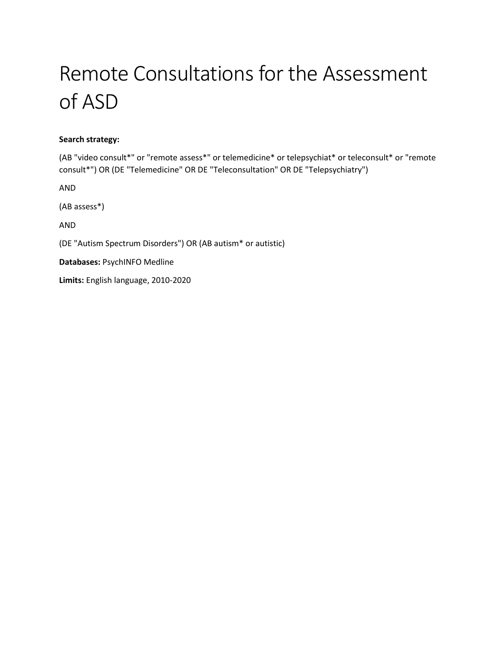# Remote Consultations for the Assessment of ASD

#### **Search strategy:**

(AB "video consult\*" or "remote assess\*" or telemedicine\* or telepsychiat\* or teleconsult\* or "remote consult\*") OR (DE "Telemedicine" OR DE "Teleconsultation" OR DE "Telepsychiatry")

AND

(AB assess\*)

AND

(DE "Autism Spectrum Disorders") OR (AB autism\* or autistic)

**Databases:** PsychINFO Medline

**Limits:** English language, 2010-2020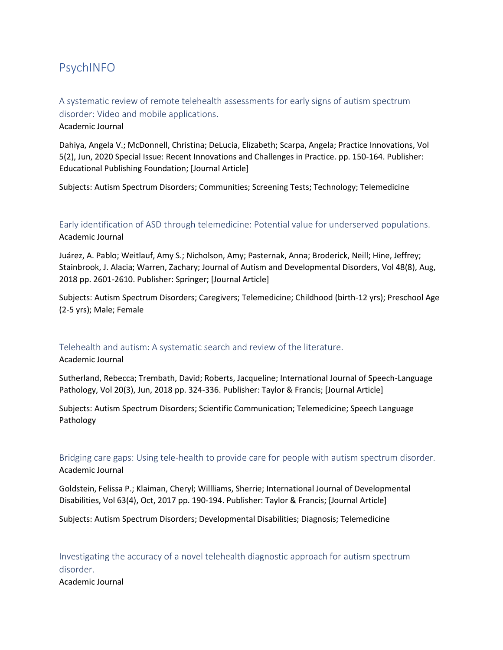# PsychINFO

A systematic review of remote telehealth assessments for early signs of autism spectrum disorder: Video and mobile applications.

Academic Journal

Dahiya, Angela V.; McDonnell, Christina; DeLucia, Elizabeth; Scarpa, Angela; Practice Innovations, Vol 5(2), Jun, 2020 Special Issue: Recent Innovations and Challenges in Practice. pp. 150-164. Publisher: Educational Publishing Foundation; [Journal Article]

Subjects: Autism Spectrum Disorders; Communities; Screening Tests; Technology; Telemedicine

Early identification of ASD through telemedicine: Potential value for underserved populations. Academic Journal

Juárez, A. Pablo; Weitlauf, Amy S.; Nicholson, Amy; Pasternak, Anna; Broderick, Neill; Hine, Jeffrey; Stainbrook, J. Alacia; Warren, Zachary; Journal of Autism and Developmental Disorders, Vol 48(8), Aug, 2018 pp. 2601-2610. Publisher: Springer; [Journal Article]

Subjects: Autism Spectrum Disorders; Caregivers; Telemedicine; Childhood (birth-12 yrs); Preschool Age (2-5 yrs); Male; Female

## Telehealth and autism: A systematic search and review of the literature.

Academic Journal

Sutherland, Rebecca; Trembath, David; Roberts, Jacqueline; International Journal of Speech-Language Pathology, Vol 20(3), Jun, 2018 pp. 324-336. Publisher: Taylor & Francis; [Journal Article]

Subjects: Autism Spectrum Disorders; Scientific Communication; Telemedicine; Speech Language Pathology

Bridging care gaps: Using tele-health to provide care for people with autism spectrum disorder. Academic Journal

Goldstein, Felissa P.; Klaiman, Cheryl; Willliams, Sherrie; International Journal of Developmental Disabilities, Vol 63(4), Oct, 2017 pp. 190-194. Publisher: Taylor & Francis; [Journal Article]

Subjects: Autism Spectrum Disorders; Developmental Disabilities; Diagnosis; Telemedicine

Investigating the accuracy of a novel telehealth diagnostic approach for autism spectrum disorder.

Academic Journal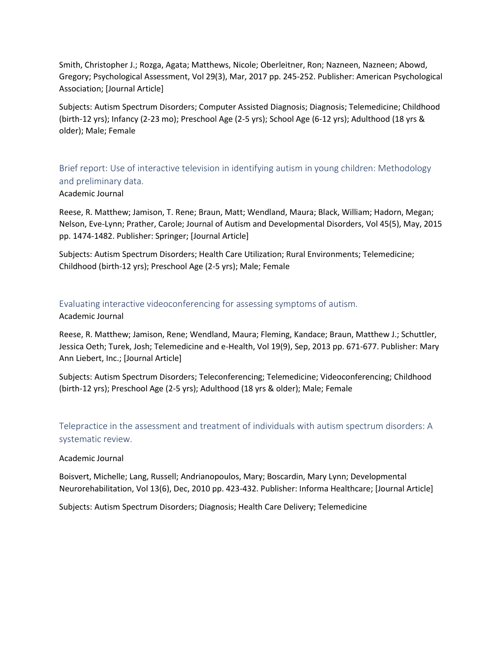Smith, Christopher J.; Rozga, Agata; Matthews, Nicole; Oberleitner, Ron; Nazneen, Nazneen; Abowd, Gregory; Psychological Assessment, Vol 29(3), Mar, 2017 pp. 245-252. Publisher: American Psychological Association; [Journal Article]

Subjects: Autism Spectrum Disorders; Computer Assisted Diagnosis; Diagnosis; Telemedicine; Childhood (birth-12 yrs); Infancy (2-23 mo); Preschool Age (2-5 yrs); School Age (6-12 yrs); Adulthood (18 yrs & older); Male; Female

Brief report: Use of interactive television in identifying autism in young children: Methodology and preliminary data. Academic Journal

Reese, R. Matthew; Jamison, T. Rene; Braun, Matt; Wendland, Maura; Black, William; Hadorn, Megan; Nelson, Eve-Lynn; Prather, Carole; Journal of Autism and Developmental Disorders, Vol 45(5), May, 2015 pp. 1474-1482. Publisher: Springer; [Journal Article]

Subjects: Autism Spectrum Disorders; Health Care Utilization; Rural Environments; Telemedicine; Childhood (birth-12 yrs); Preschool Age (2-5 yrs); Male; Female

# Evaluating interactive videoconferencing for assessing symptoms of autism.

#### Academic Journal

Reese, R. Matthew; Jamison, Rene; Wendland, Maura; Fleming, Kandace; Braun, Matthew J.; Schuttler, Jessica Oeth; Turek, Josh; Telemedicine and e-Health, Vol 19(9), Sep, 2013 pp. 671-677. Publisher: Mary Ann Liebert, Inc.; [Journal Article]

Subjects: Autism Spectrum Disorders; Teleconferencing; Telemedicine; Videoconferencing; Childhood (birth-12 yrs); Preschool Age (2-5 yrs); Adulthood (18 yrs & older); Male; Female

Telepractice in the assessment and treatment of individuals with autism spectrum disorders: A systematic review.

#### Academic Journal

Boisvert, Michelle; Lang, Russell; Andrianopoulos, Mary; Boscardin, Mary Lynn; Developmental Neurorehabilitation, Vol 13(6), Dec, 2010 pp. 423-432. Publisher: Informa Healthcare; [Journal Article]

Subjects: Autism Spectrum Disorders; Diagnosis; Health Care Delivery; Telemedicine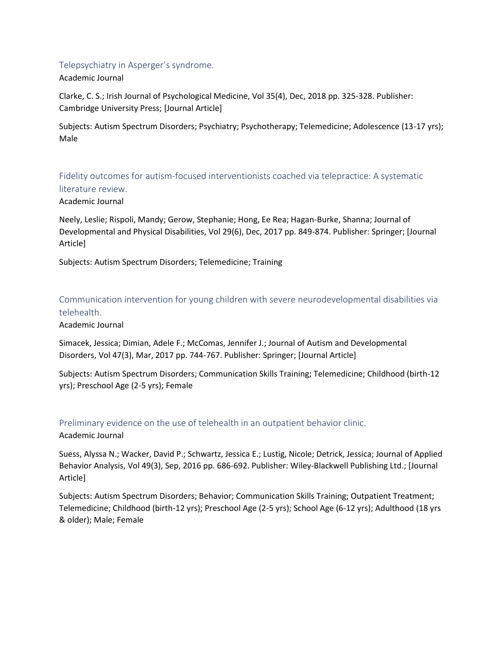## Telepsychiatry in Asperger's syndrome.

Academic Journal

Clarke, C. S.; Irish Journal of Psychological Medicine, Vol 35(4), Dec, 2018 pp. 325-328. Publisher: Cambridge University Press; [Journal Article]

Subjects: Autism Spectrum Disorders; Psychiatry; Psychotherapy; Telemedicine; Adolescence (13-17 yrs); Male

Fidelity outcomes for autism-focused interventionists coached via telepractice: A systematic literature review.

Academic Journal

Neely, Leslie; Rispoli, Mandy; Gerow, Stephanie; Hong, Ee Rea; Hagan-Burke, Shanna; Journal of Developmental and Physical Disabilities, Vol 29(6), Dec, 2017 pp. 849-874. Publisher: Springer; [Journal Article]

Subjects: Autism Spectrum Disorders; Telemedicine; Training

Communication intervention for young children with severe neurodevelopmental disabilities via telehealth.

Academic Journal

Simacek, Jessica; Dimian, Adele F.; McComas, Jennifer J.; Journal of Autism and Developmental Disorders, Vol 47(3), Mar, 2017 pp. 744-767. Publisher: Springer; [Journal Article]

Subjects: Autism Spectrum Disorders; Communication Skills Training; Telemedicine; Childhood (birth-12 yrs); Preschool Age (2-5 yrs); Female

# Preliminary evidence on the use of telehealth in an outpatient behavior clinic.

Academic Journal

Suess, Alyssa N.; Wacker, David P.; Schwartz, Jessica E.; Lustig, Nicole; Detrick, Jessica; Journal of Applied Behavior Analysis, Vol 49(3), Sep, 2016 pp. 686-692. Publisher: Wiley-Blackwell Publishing Ltd.; [Journal Article]

Subjects: Autism Spectrum Disorders; Behavior; Communication Skills Training; Outpatient Treatment; Telemedicine; Childhood (birth-12 yrs); Preschool Age (2-5 yrs); School Age (6-12 yrs); Adulthood (18 yrs & older); Male; Female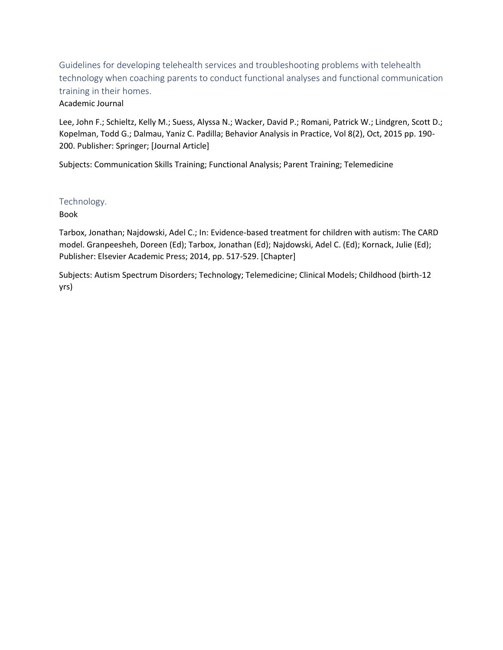Guidelines for developing telehealth services and troubleshooting problems with telehealth technology when coaching parents to conduct functional analyses and functional communication training in their homes.

#### Academic Journal

Lee, John F.; Schieltz, Kelly M.; Suess, Alyssa N.; Wacker, David P.; Romani, Patrick W.; Lindgren, Scott D.; Kopelman, Todd G.; Dalmau, Yaniz C. Padilla; Behavior Analysis in Practice, Vol 8(2), Oct, 2015 pp. 190- 200. Publisher: Springer; [Journal Article]

Subjects: Communication Skills Training; Functional Analysis; Parent Training; Telemedicine

## Technology.

Book

Tarbox, Jonathan; Najdowski, Adel C.; In: Evidence-based treatment for children with autism: The CARD model. Granpeesheh, Doreen (Ed); Tarbox, Jonathan (Ed); Najdowski, Adel C. (Ed); Kornack, Julie (Ed); Publisher: Elsevier Academic Press; 2014, pp. 517-529. [Chapter]

Subjects: Autism Spectrum Disorders; Technology; Telemedicine; Clinical Models; Childhood (birth-12 yrs)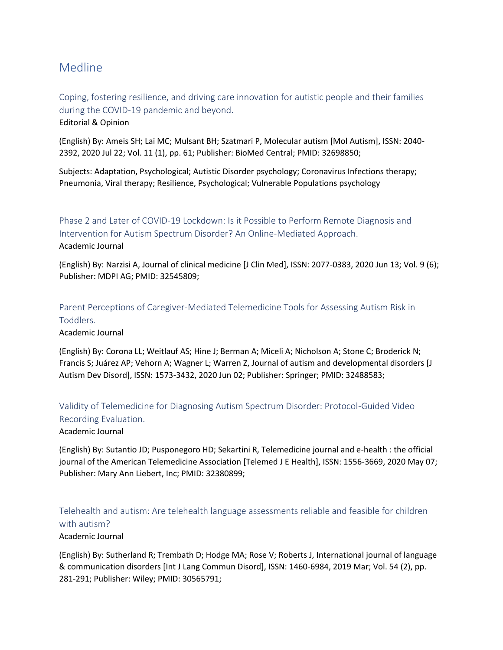# Medline

Coping, fostering resilience, and driving care innovation for autistic people and their families during the COVID-19 pandemic and beyond.

Editorial & Opinion

(English) By: Ameis SH; Lai MC; Mulsant BH; Szatmari P, Molecular autism [Mol Autism], ISSN: 2040- 2392, 2020 Jul 22; Vol. 11 (1), pp. 61; Publisher: BioMed Central; PMID: 32698850;

Subjects: Adaptation, Psychological; Autistic Disorder psychology; Coronavirus Infections therapy; Pneumonia, Viral therapy; Resilience, Psychological; Vulnerable Populations psychology

Phase 2 and Later of COVID-19 Lockdown: Is it Possible to Perform Remote Diagnosis and Intervention for Autism Spectrum Disorder? An Online-Mediated Approach. Academic Journal

(English) By: Narzisi A, Journal of clinical medicine [J Clin Med], ISSN: 2077-0383, 2020 Jun 13; Vol. 9 (6); Publisher: MDPI AG; PMID: 32545809;

Parent Perceptions of Caregiver-Mediated Telemedicine Tools for Assessing Autism Risk in Toddlers.

Academic Journal

(English) By: Corona LL; Weitlauf AS; Hine J; Berman A; Miceli A; Nicholson A; Stone C; Broderick N; Francis S; Juárez AP; Vehorn A; Wagner L; Warren Z, Journal of autism and developmental disorders [J Autism Dev Disord], ISSN: 1573-3432, 2020 Jun 02; Publisher: Springer; PMID: 32488583;

Validity of Telemedicine for Diagnosing Autism Spectrum Disorder: Protocol-Guided Video Recording Evaluation.

Academic Journal

(English) By: Sutantio JD; Pusponegoro HD; Sekartini R, Telemedicine journal and e-health : the official journal of the American Telemedicine Association [Telemed J E Health], ISSN: 1556-3669, 2020 May 07; Publisher: Mary Ann Liebert, Inc; PMID: 32380899;

Telehealth and autism: Are telehealth language assessments reliable and feasible for children with autism?

#### Academic Journal

(English) By: Sutherland R; Trembath D; Hodge MA; Rose V; Roberts J, International journal of language & communication disorders [Int J Lang Commun Disord], ISSN: 1460-6984, 2019 Mar; Vol. 54 (2), pp. 281-291; Publisher: Wiley; PMID: 30565791;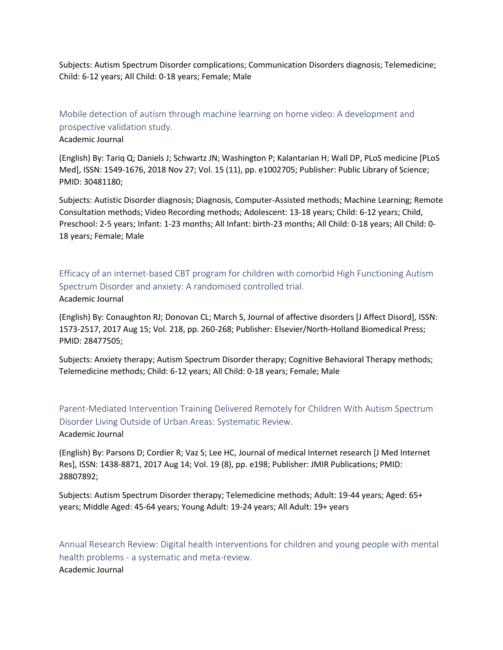Subjects: Autism Spectrum Disorder complications; Communication Disorders diagnosis; Telemedicine; Child: 6-12 years; All Child: 0-18 years; Female; Male

Mobile detection of autism through machine learning on home video: A development and prospective validation study.

Academic Journal

(English) By: Tariq Q; Daniels J; Schwartz JN; Washington P; Kalantarian H; Wall DP, PLoS medicine [PLoS Med], ISSN: 1549-1676, 2018 Nov 27; Vol. 15 (11), pp. e1002705; Publisher: Public Library of Science; PMID: 30481180;

Subjects: Autistic Disorder diagnosis; Diagnosis, Computer-Assisted methods; Machine Learning; Remote Consultation methods; Video Recording methods; Adolescent: 13-18 years; Child: 6-12 years; Child, Preschool: 2-5 years; Infant: 1-23 months; All Infant: birth-23 months; All Child: 0-18 years; All Child: 0- 18 years; Female; Male

Efficacy of an internet-based CBT program for children with comorbid High Functioning Autism Spectrum Disorder and anxiety: A randomised controlled trial. Academic Journal

(English) By: Conaughton RJ; Donovan CL; March S, Journal of affective disorders [J Affect Disord], ISSN: 1573-2517, 2017 Aug 15; Vol. 218, pp. 260-268; Publisher: Elsevier/North-Holland Biomedical Press; PMID: 28477505;

Subjects: Anxiety therapy; Autism Spectrum Disorder therapy; Cognitive Behavioral Therapy methods; Telemedicine methods; Child: 6-12 years; All Child: 0-18 years; Female; Male

Parent-Mediated Intervention Training Delivered Remotely for Children With Autism Spectrum Disorder Living Outside of Urban Areas: Systematic Review. Academic Journal

(English) By: Parsons D; Cordier R; Vaz S; Lee HC, Journal of medical Internet research [J Med Internet Res], ISSN: 1438-8871, 2017 Aug 14; Vol. 19 (8), pp. e198; Publisher: JMIR Publications; PMID: 28807892;

Subjects: Autism Spectrum Disorder therapy; Telemedicine methods; Adult: 19-44 years; Aged: 65+ years; Middle Aged: 45-64 years; Young Adult: 19-24 years; All Adult: 19+ years

Annual Research Review: Digital health interventions for children and young people with mental health problems - a systematic and meta-review. Academic Journal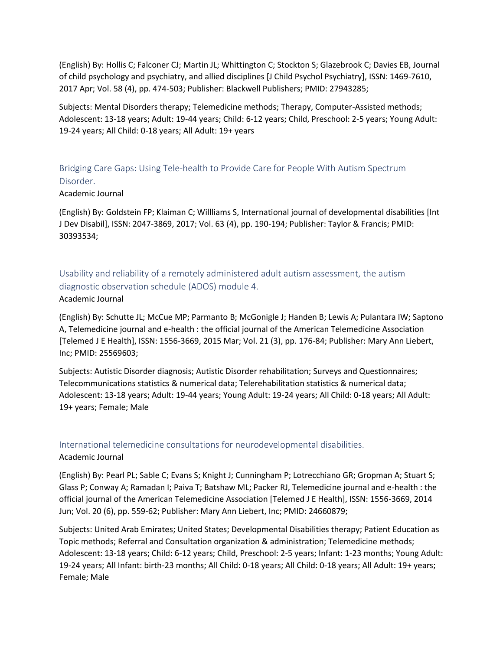(English) By: Hollis C; Falconer CJ; Martin JL; Whittington C; Stockton S; Glazebrook C; Davies EB, Journal of child psychology and psychiatry, and allied disciplines [J Child Psychol Psychiatry], ISSN: 1469-7610, 2017 Apr; Vol. 58 (4), pp. 474-503; Publisher: Blackwell Publishers; PMID: 27943285;

Subjects: Mental Disorders therapy; Telemedicine methods; Therapy, Computer-Assisted methods; Adolescent: 13-18 years; Adult: 19-44 years; Child: 6-12 years; Child, Preschool: 2-5 years; Young Adult: 19-24 years; All Child: 0-18 years; All Adult: 19+ years

Bridging Care Gaps: Using Tele-health to Provide Care for People With Autism Spectrum Disorder.

#### Academic Journal

(English) By: Goldstein FP; Klaiman C; Willliams S, International journal of developmental disabilities [Int J Dev Disabil], ISSN: 2047-3869, 2017; Vol. 63 (4), pp. 190-194; Publisher: Taylor & Francis; PMID: 30393534;

Usability and reliability of a remotely administered adult autism assessment, the autism diagnostic observation schedule (ADOS) module 4. Academic Journal

(English) By: Schutte JL; McCue MP; Parmanto B; McGonigle J; Handen B; Lewis A; Pulantara IW; Saptono A, Telemedicine journal and e-health : the official journal of the American Telemedicine Association [Telemed J E Health], ISSN: 1556-3669, 2015 Mar; Vol. 21 (3), pp. 176-84; Publisher: Mary Ann Liebert, Inc; PMID: 25569603;

Subjects: Autistic Disorder diagnosis; Autistic Disorder rehabilitation; Surveys and Questionnaires; Telecommunications statistics & numerical data; Telerehabilitation statistics & numerical data; Adolescent: 13-18 years; Adult: 19-44 years; Young Adult: 19-24 years; All Child: 0-18 years; All Adult: 19+ years; Female; Male

# International telemedicine consultations for neurodevelopmental disabilities.

#### Academic Journal

(English) By: Pearl PL; Sable C; Evans S; Knight J; Cunningham P; Lotrecchiano GR; Gropman A; Stuart S; Glass P; Conway A; Ramadan I; Paiva T; Batshaw ML; Packer RJ, Telemedicine journal and e-health : the official journal of the American Telemedicine Association [Telemed J E Health], ISSN: 1556-3669, 2014 Jun; Vol. 20 (6), pp. 559-62; Publisher: Mary Ann Liebert, Inc; PMID: 24660879;

Subjects: United Arab Emirates; United States; Developmental Disabilities therapy; Patient Education as Topic methods; Referral and Consultation organization & administration; Telemedicine methods; Adolescent: 13-18 years; Child: 6-12 years; Child, Preschool: 2-5 years; Infant: 1-23 months; Young Adult: 19-24 years; All Infant: birth-23 months; All Child: 0-18 years; All Child: 0-18 years; All Adult: 19+ years; Female; Male